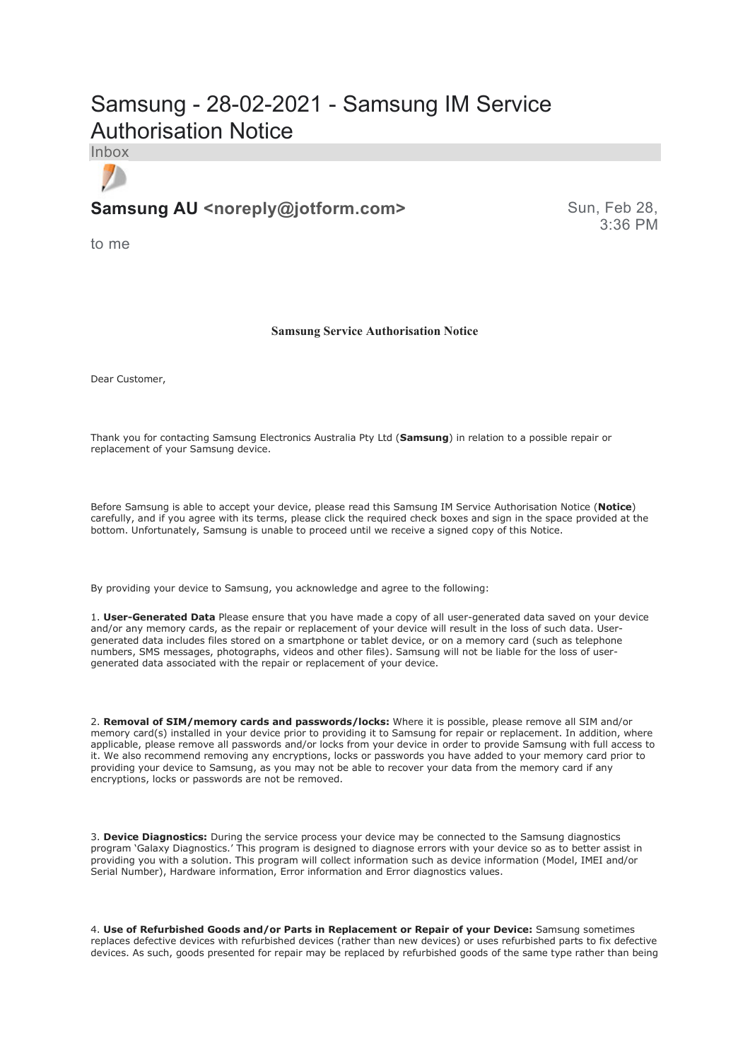# Samsung - 28-02-2021 - Samsung IM Service Authorisation Notice

Inbox

 $\mathcal{F}$ 

## **Samsung AU <noreply@jotform.com>** Sun, Feb 28,

3:36 PM

to me

### **Samsung Service Authorisation Notice**

Dear Customer,

Thank you for contacting Samsung Electronics Australia Pty Ltd (**Samsung**) in relation to a possible repair or replacement of your Samsung device.

Before Samsung is able to accept your device, please read this Samsung IM Service Authorisation Notice (**Notice**) carefully, and if you agree with its terms, please click the required check boxes and sign in the space provided at the bottom. Unfortunately, Samsung is unable to proceed until we receive a signed copy of this Notice.

By providing your device to Samsung, you acknowledge and agree to the following:

1. **User-Generated Data** Please ensure that you have made a copy of all user-generated data saved on your device and/or any memory cards, as the repair or replacement of your device will result in the loss of such data. Usergenerated data includes files stored on a smartphone or tablet device, or on a memory card (such as telephone numbers, SMS messages, photographs, videos and other files). Samsung will not be liable for the loss of usergenerated data associated with the repair or replacement of your device.

2. **Removal of SIM/memory cards and passwords/locks:** Where it is possible, please remove all SIM and/or memory card(s) installed in your device prior to providing it to Samsung for repair or replacement. In addition, where applicable, please remove all passwords and/or locks from your device in order to provide Samsung with full access to it. We also recommend removing any encryptions, locks or passwords you have added to your memory card prior to providing your device to Samsung, as you may not be able to recover your data from the memory card if any encryptions, locks or passwords are not be removed.

3. **Device Diagnostics:** During the service process your device may be connected to the Samsung diagnostics program 'Galaxy Diagnostics.' This program is designed to diagnose errors with your device so as to better assist in providing you with a solution. This program will collect information such as device information (Model, IMEI and/or Serial Number), Hardware information, Error information and Error diagnostics values.

4. **Use of Refurbished Goods and/or Parts in Replacement or Repair of your Device:** Samsung sometimes replaces defective devices with refurbished devices (rather than new devices) or uses refurbished parts to fix defective devices. As such, goods presented for repair may be replaced by refurbished goods of the same type rather than being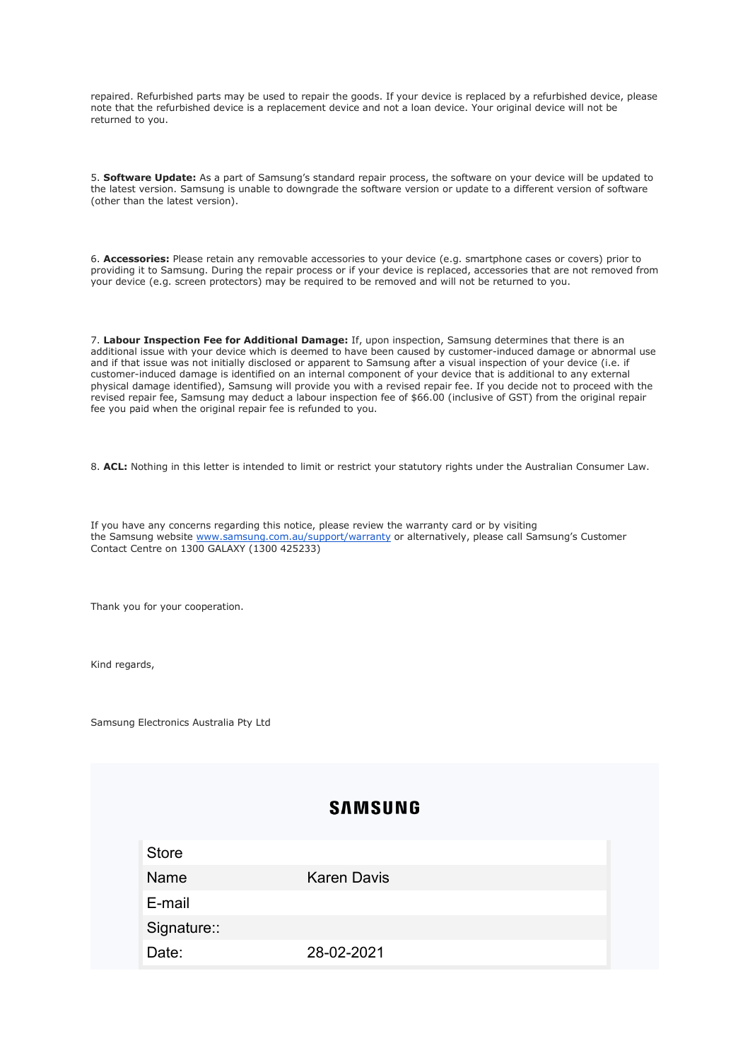repaired. Refurbished parts may be used to repair the goods. If your device is replaced by a refurbished device, please note that the refurbished device is a replacement device and not a loan device. Your original device will not be returned to you.

5. **Software Update:** As a part of Samsung's standard repair process, the software on your device will be updated to the latest version. Samsung is unable to downgrade the software version or update to a different version of software (other than the latest version).

6. **Accessories:** Please retain any removable accessories to your device (e.g. smartphone cases or covers) prior to providing it to Samsung. During the repair process or if your device is replaced, accessories that are not removed from your device (e.g. screen protectors) may be required to be removed and will not be returned to you.

7. **Labour Inspection Fee for Additional Damage:** If, upon inspection, Samsung determines that there is an additional issue with your device which is deemed to have been caused by customer-induced damage or abnormal use and if that issue was not initially disclosed or apparent to Samsung after a visual inspection of your device (i.e. if customer-induced damage is identified on an internal component of your device that is additional to any external physical damage identified), Samsung will provide you with a revised repair fee. If you decide not to proceed with the revised repair fee, Samsung may deduct a labour inspection fee of \$66.00 (inclusive of GST) from the original repair fee you paid when the original repair fee is refunded to you.

8. **ACL:** Nothing in this letter is intended to limit or restrict your statutory rights under the Australian Consumer Law.

If you have any concerns regarding this notice, please review the warranty card or by visiting the Samsung website www.samsung.com.au/support/warranty or alternatively, please call Samsung's Customer Contact Centre on 1300 GALAXY (1300 425233)

Thank you for your cooperation.

Kind regards,

Samsung Electronics Australia Pty Ltd

## **SAMSUNG**

**Store** 

Name Karen Davis

E-mail

Signature::

Date: 28-02-2021